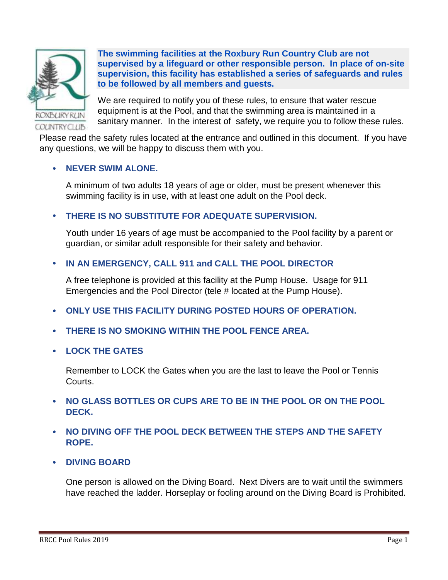

**The swimming facilities at the Roxbury Run Country Club are not supervised by a lifeguard or other responsible person. In place of on-site supervision, this facility has established a series of safeguards and rules to be followed by all members and guests.**

We are required to notify you of these rules, to ensure that water rescue equipment is at the Pool, and that the swimming area is maintained in a sanitary manner. In the interest of safety, we require you to follow these rules.

Please read the safety rules located at the entrance and outlined in this document. If you have any questions, we will be happy to discuss them with you.

### **NEVER SWIM ALONE.**

A minimum of two adults 18 years of age or older, must be present whenever this swimming facility is in use, with at least one adult on the Pool deck.

# **THERE IS NO SUBSTITUTE FOR ADEQUATE SUPERVISION.**

Youth under 16 years of age must be accompanied to the Pool facility by a parent or guardian, or similar adult responsible for their safety and behavior.

# **IN AN EMERGENCY, CALL 911 and CALL THE POOL DIRECTOR**

A free telephone is provided at this facility at the Pump House. Usage for 911 Emergencies and the Pool Director (tele # located at the Pump House).

- **ONLY USE THIS FACILITY DURING POSTED HOURS OF OPERATION.**
- **THERE IS NO SMOKING WITHIN THE POOL FENCE AREA.**
- **LOCK THE GATES**

Remember to LOCK the Gates when you are the last to leave the Pool or Tennis Courts.

- **NO GLASS BOTTLES OR CUPS ARE TO BE IN THE POOL OR ON THE POOL DECK.**
- **NO DIVING OFF THE POOL DECK BETWEEN THE STEPS AND THE SAFETY ROPE.**
- **DIVING BOARD**

One person is allowed on the Diving Board. Next Divers are to wait until the swimmers have reached the ladder. Horseplay or fooling around on the Diving Board is Prohibited.